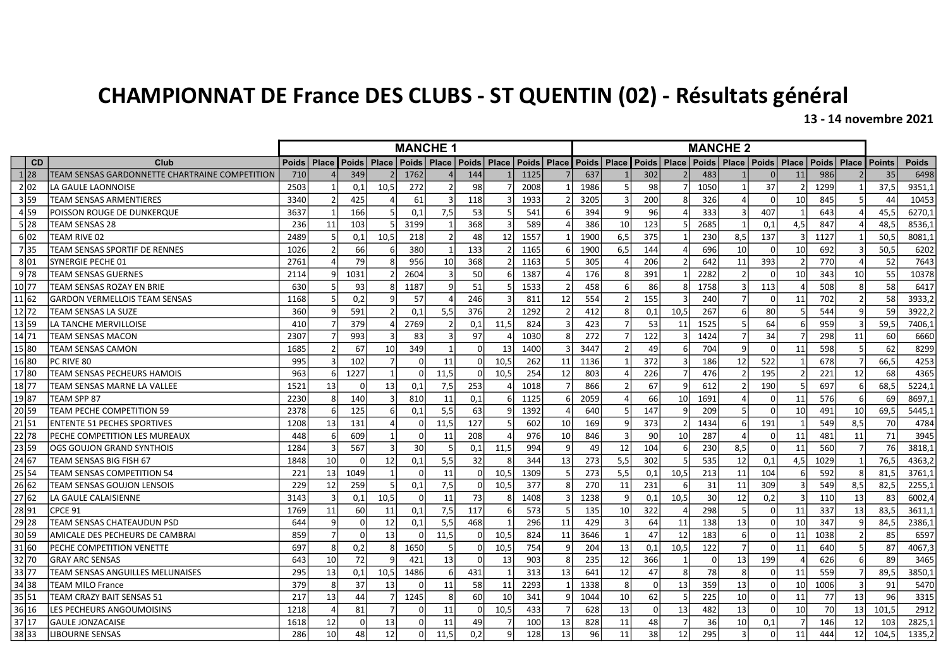## CHAMPIONNAT DE France DES CLUBS - ST QUENTIN (02) - Résultats général

13 - 14 novembre 2021

|           |                                                | <b>MANCHE 1</b> |                 |                    |                 |          |                |          |                       | <b>MANCHE 2</b> |                |               |                 |          |                |          |                       |          |               |                       |     |               |              |
|-----------|------------------------------------------------|-----------------|-----------------|--------------------|-----------------|----------|----------------|----------|-----------------------|-----------------|----------------|---------------|-----------------|----------|----------------|----------|-----------------------|----------|---------------|-----------------------|-----|---------------|--------------|
| <b>CD</b> | Club                                           | <b>Poids</b>    | Place           | <b>Poids Place</b> |                 |          | Poids   Place  |          | Poids   Place   Poids |                 | <b>Place</b>   | Poids   Place |                 |          | Poids   Place  |          | Poids   Place   Poids |          |               | Place   Poids   Place |     | <b>Points</b> | <b>Poids</b> |
| 1 28      | TEAM SENSAS GARDONNETTE CHARTRAINE COMPETITION | 710             |                 | 349                |                 | 1762     |                | 144      |                       | 1125            |                | 637           |                 | 302      |                | 483      |                       | $\Omega$ | 11            | 986                   |     | 35            | 6498         |
| 2 02      | LA GAULE LAONNOISE                             | 2503            |                 | 0,1                | 10,5            | 272      |                | 98       |                       | 2008            |                | 1986          |                 | 98       | 7              | 1050     |                       | 37       |               | 1299                  |     | 37.5          | 9351,1       |
| 3 59      | <b>TEAM SENSAS ARMENTIERES</b>                 | 3340            |                 | 425                |                 | 61       | $\overline{3}$ | 118      |                       | 1933            |                | 3205          |                 | 200      |                | 326      |                       | $\Omega$ | 10            | 845                   |     | 44            | 10453        |
| 4 59      | POISSON ROUGE DE DUNKERQUE                     | 3637            |                 | 166                |                 | 0.1      | 7,5            | 53       |                       | 541             | 6              | 394           | $\mathsf{q}$    | 96       |                | 333      |                       | 407      |               | 643                   |     | 45.5          | 6270.1       |
| 5 28      | <b>TEAM SENSAS 28</b>                          | 236             | 11              | 103                |                 | 3199     | $\mathbf 1$    | 368      |                       | 589             |                | 386           | 10              | 123      | .5             | 2685     |                       | 0,1      | 4,5           | 847                   |     | 48.5          | 8536,1       |
| 602       | TEAM RIVE 02                                   | 2489            |                 | 0.1                | 10.5            | 218      |                | 48       | 12                    | 1557            |                | 1900          | 6,5             | 375      |                | 230      | 8,5                   | 137      |               | 1127                  |     | 50.5          | 8081,1       |
| 7 35      | TEAM SENSAS SPORTIF DE RENNES                  | 1026            |                 | 66                 |                 | 380      | $\mathbf{1}$   | 133      |                       | 1165            |                | 1900          | 6,5             | 144      |                | 696      | 10                    | $\Omega$ | 10            | 692                   |     | 50,5          | 6202         |
| 801       | SYNERGIE PECHE 01                              | 2761            |                 | 79                 |                 | 956      | 10             | 368      |                       | 1163            |                | 305           |                 | 206      | $\overline{2}$ | 642      | 11                    | 393      | $\mathcal{P}$ | 770                   |     | 52            | 7643         |
| 9 78      | TEAM SENSAS GUERNES                            | 2114            |                 | 1031               |                 | 2604     |                | 50       |                       | 1387            |                | 176           |                 | 391      |                | 2282     |                       | $\Omega$ | 10            | 343                   | 10  | 55            | 10378        |
| 10 77     | TEAM SENSAS ROZAY EN BRIE                      | 630             |                 | 93                 |                 | 1187     | q              | 51       |                       | 1533            |                | 458           |                 | 86       | 8              | 1758     |                       | 113      |               | 508                   |     | 58            | 6417         |
| 11 62     | <b>GARDON VERMELLOIS TEAM SENSAS</b>           | 1168            |                 | 0,2                |                 | 57       |                | 246      |                       | 811             | 12             | 554           |                 | 155      |                | 240      |                       | $\Omega$ | 11            | 702                   |     | 58            | 3933,2       |
| 12 72     | TEAM SENSAS LA SUZE                            | 360             | $\mathbf{q}$    | 591                |                 | 0.1      | 5,5            | 376      |                       | 1292            | $\mathcal{P}$  | 412           | $\mathbf{R}$    | 0,1      | 10.5           | 267      |                       | 80       | 5             | 544                   | q   | 59            | 3922,2       |
| 13 59     | LA TANCHE MERVILLOISE                          | 410             |                 | 379                |                 | 2769     |                | 0.1      | 11,5                  | 824             |                | 423           |                 | 53       | 11             | 1525     |                       | 64       | 6             | 959                   |     | 59,5          | 7406,1       |
| 14 71     | TEAM SENSAS MACON                              | 2307            |                 | 993                |                 | 83       | 3              | 97       |                       | 1030            | 8              | 272           |                 | 122      |                | 1424     |                       | 34       |               | 298                   | 11  | 60            | 6660         |
| 15 80     | TEAM SENSAS CAMON                              | 1685            | $\mathcal{P}$   | 67                 | 10              | 349      | $\overline{1}$ | ΩI       | 13                    | 1400            |                | 3447          |                 | 49       | 6              | 704      | q                     | $\Omega$ | 11            | 598                   |     | 62            | 8299         |
| 16 80     | PC RIVE 80                                     | 995             |                 | 102                |                 | $\Omega$ | 11             | ŋ        | 10,5                  | 262             | 11             | 1136          |                 | 372      | 3              | 186      | 12                    | 522      |               | 678                   |     | 66,5          | 4253         |
| 17 80     | TEAM SENSAS PECHEURS HAMOIS                    | 963             | ĥ               | 1227               |                 | $\Omega$ | 11.5           | $\Omega$ | 10,5                  | 254             | 12             | 803           |                 | 226      | $\overline{7}$ | 476      |                       | 195      |               | 221                   | 12  | 68            | 4365         |
| 18 77     | TEAM SENSAS MARNE LA VALLEE                    | 1521            | 13              | $\Omega$           | 13              | 0,1      | 7,5            | 253      |                       | 1018            |                | 866           |                 | 67       | 9              | 612      |                       | 190      |               | 697                   |     | 68,5          | 5224,1       |
| 19 87     | TEAM SPP 87                                    | 2230            | 8               | 140                |                 | 810      | 11             | 0,1      |                       | 1125            |                | 2059          |                 | 66       | 10             | 1691     |                       | $\Omega$ | 11            | 576                   |     | 69            | 8697,1       |
| 20 59     | <b>TEAM PECHE COMPETITION 59</b>               | 2378            | 6               | 125                |                 | 0,1      | 5,5            | 63       |                       | 1392            |                | 640           |                 | 147      | $\mathbf{q}$   | 209      |                       | $\Omega$ | 10            | 491                   | 10  | 69.5          | 5445.1       |
| 21 51     | <b>ENTENTE 51 PECHES SPORTIVES</b>             | 1208            | 13              | 131                |                 | $\Omega$ | 11.5           | 127      |                       | 602             | 10             | 169           |                 | 373      | $\overline{2}$ | 1434     |                       | 191      |               | 549                   | 8,5 | 70            | 4784         |
| 22 78     | PECHE COMPETITION LES MUREAUX                  | 448             | 6 <sup>1</sup>  | 609                |                 | $\Omega$ | 11             | 208      |                       | 976             | 10             | 846           |                 | 90       | 10             | 287      |                       | $\Omega$ | 11            | 481                   | 11  | 71            | 3945         |
| 23 59     | OGS GOUJON GRAND SYNTHOIS                      | 1284            | 3               | 567                |                 | 30       | 5              | 0.1      | 11.5                  | 994             | $\mathsf{q}$   | 49            | 12              | 104      | 6              | 230      | 8,5                   | $\Omega$ | 11            | 560                   |     | 76            | 3818.1       |
| 24 67     | TEAM SENSAS BIG FISH 67                        | 1848            | 10              | $\Omega$           | 12              | 0,1      | 5,5            | 32       |                       | 344             | 13             | 273           | 5,5             | 302      |                | 535      | 12                    | 0.1      | 4,5           | 1029                  |     | 76,5          | 4363,2       |
| 25 54     | TEAM SENSAS COMPETITION 54                     | 221             | 13              | 1049               |                 | $\Omega$ | 11             | $\Omega$ | 10,5                  | 1309            | 5              | 273           | 5,5             | 0,1      | 10,5           | 213      | 11                    | 104      | 6             | 592                   |     | 81.5          | 3761,1       |
| 26 62     | TEAM SENSAS GOUJON LENSOIS                     | 229             | 12              | 259                |                 | 0,1      | 7,5            | Οl       | 10,5                  | 377             | 8 <sup>1</sup> | 270           | 11              | 231      | 6              | 31       | 11                    | 309      | 3             | 549                   | 8,5 | 82.5          | 2255,1       |
| 27 62     | LA GAULE CALAISIENNE                           | 3143            | 3               | 0,1                | 10,5            | $\Omega$ | 11             | 73       |                       | 1408            |                | 1238          |                 | 0,1      | 10,5           | 30       | 12                    | 0,2      |               | 110                   | 13  | 83            | 6002,4       |
| 28 91     | CPCE 91                                        | 1769            | 11              | 60                 | 11              | 0.1      | 7,5            | 117      |                       | 573             |                | 135           | 10              | 322      | 4              | 298      |                       | $\Omega$ | 11            | 337                   | 13  | 83.5          | 3611,1       |
| $29$ 28   | TEAM SENSAS CHATEAUDUN PSD                     | 644             | 9               | $\Omega$           | 12              | 0,1      | 5,5            | 468      |                       | 296             | 11             | 429           |                 | 64       | 11             | 138      | 13                    | $\Omega$ | 10            | 347                   |     | 84,5          | 2386,1       |
| 30 59     | AMICALE DES PECHEURS DE CAMBRAI                | 859             | $\overline{7}$  | $\Omega$           | 13              | $\Omega$ | 11,5           | $\Omega$ | 10,5                  | 824             | 11             | 3646          |                 | 47       | 12             | 183      |                       | $\Omega$ | 11            | 1038                  |     | 85            | 6597         |
| 31 60     | PECHE COMPETITION VENETTE                      | 697             | 8               | 0,2                |                 | 1650     | -5             | n        | 10,5                  | 754             | q              | 204           | 13              | 0,1      | 10,5           | 122      |                       | $\Omega$ | 11            | 640                   |     | 87            | 4067,3       |
| 32 70     | <b>GRAY ARC SENSAS</b>                         | 643             | 10 <sup>1</sup> | 72                 |                 | 421      | 13             | $\Omega$ | 13                    | 903             | 8              | 235           | 12              | 366      |                | $\Omega$ | 13                    | 199      |               | 626                   |     | 89            | 3465         |
| 33 77     | TEAM SENSAS ANGUILLES MELUNAISES               | 295             | 13              | 0,1                | 10,5            | 1486     | -6             | 431      |                       | 313             | 13             | 641           | 12              | 47       | 8              | 78       |                       | $\Omega$ | 11            | 559                   |     | 89.5          | 3850.1       |
| 34 38     | <b>TEAM MILO France</b>                        | 379             | 8               | 37                 | 13              | $\Omega$ | 11             | 58       | 11                    | 2293            |                | 1338          | 8               | $\Omega$ | 13             | 359      | 13                    | $\Omega$ | 10            | 1006                  |     | 91            | 5470         |
| 35 51     | TEAM CRAZY BAIT SENSAS 51                      | 217             | 13              | 44                 |                 | 1245     | -8             | 60       | 10                    | 341             |                | 1044          | 10 <sup>1</sup> | 62       | 5              | 225      | 10                    | $\Omega$ | 11            | 77                    | 13  | 96            | 3315         |
| 36 16     | LES PECHEURS ANGOUMOISINS                      | 1218            |                 | 81                 |                 | $\Omega$ | 11             | ΩI       | 10,5                  | 433             |                | 628           | 13              | $\Omega$ | 13             | 482      | 13                    | $\Omega$ | 10            | 70                    | 13  | 101.5         | 2912         |
| 37 17     | <b>GAULE JONZACAISE</b>                        | 1618            | 12              | $\Omega$           | 13              | $\Omega$ | 11             | 49       |                       | 100             | 13             | 828           | 11              | 48       | $\overline{7}$ | 36       | 10                    | 0,1      |               | 146                   | 12  | 103           | 2825,1       |
| 38 33     | <b>LIBOURNE SENSAS</b>                         | 286             | 10 <sup>1</sup> | 48                 | 12 <sup>1</sup> | 0l       | 11.5           | 0,2      |                       | 128             | 13             | 96            | 11              | 38       | 12             | 295      | 3                     | $\Omega$ | 11            | 444                   | 12  | 104.5         | 1335,2       |